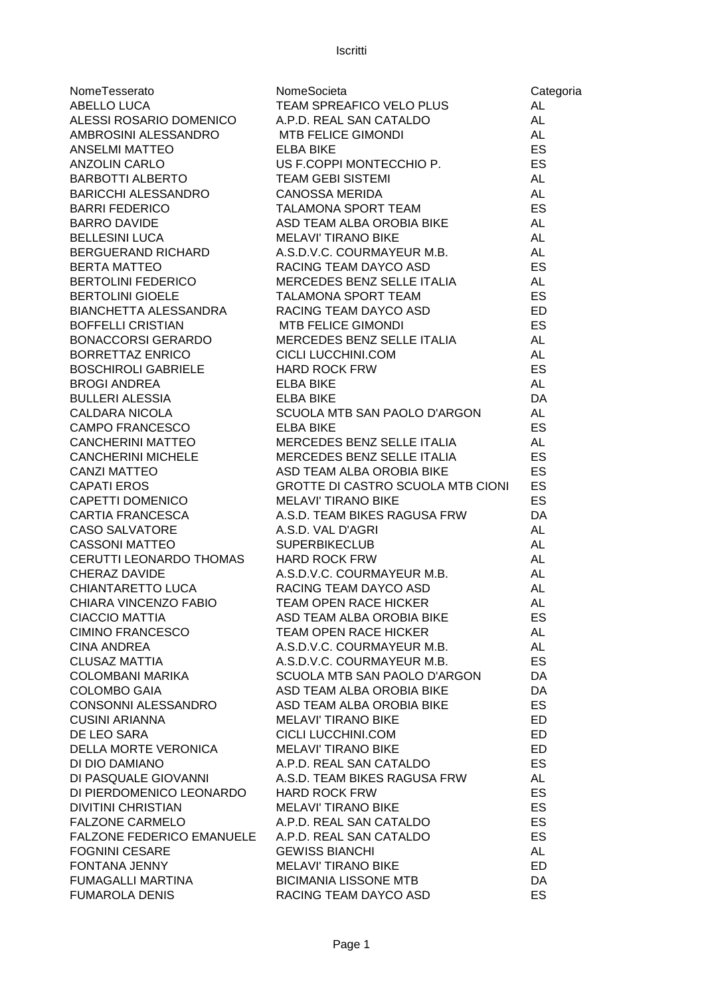| NomeTesserato                                                                                              | NomeSocieta                                                                | Categoria |
|------------------------------------------------------------------------------------------------------------|----------------------------------------------------------------------------|-----------|
| ABELLO LUCA                                                                                                | NomeSocieta<br>TEAM SPREAFICO VELO PLUS                                    | AL        |
| ALESSI ROSARIO DOMENICO                                                                                    |                                                                            | <b>AL</b> |
| AMBROSINI ALESSANDRO MTB FELICE GIMONDI                                                                    | TEAM SPREAFICO VELU FLUU<br>A.P.D. REAL SAN CATALDO<br>TELLO TELLO CIMONDI | AL        |
| <b>ANSELMI MATTEO</b>                                                                                      | <b>ELBA BIKE</b>                                                           | ES        |
| <b>ANZOLIN CARLO</b>                                                                                       | US F.COPPI MONTECCHIO P.<br>TEAM GEBI SISTEMI AL<br>CANOSSA MERIDA AL      |           |
| BARBOTTI ALBERTO                                                                                           |                                                                            |           |
| BARICCHI ALESSANDRO<br>BARRI FEDERICO<br>BARRO DAVIDE                                                      |                                                                            |           |
|                                                                                                            | TALAMONA SPORT TEAM                                                        | ES        |
| <b>BARRO DAVIDE</b>                                                                                        | ASD TEAM ALBA OROBIA BIKE                                                  | AL        |
| <b>BELLESINI LUCA</b>                                                                                      | <b>MELAVI' TIRANO BIKE</b>                                                 | AL        |
| BERGUERAND RICHARD                                                                                         | <b>WELAVE TRANO BIKE</b><br>A.S.D.V.C. COURMAYEUR M.B.<br>DAOULE TT        | AL        |
| BERTA MATTEO<br>BERTOLINI FEDERICO                                                                         | RACING TEAM DAYCO ASD                                                      | ES        |
|                                                                                                            | RACING TEAM DAYOU ASD<br>MERCEDES BENZ SELLE ITALIA                        | AL        |
| DER I ULINI GIUELE FALAMONA SPORT TEAM<br>BIANCHETTA ALESSANDRA RACING TEAM DAYCO ASD<br>POEEE! LLODISTIAN |                                                                            | ES        |
|                                                                                                            |                                                                            | ED        |
|                                                                                                            | MTB FELICE GIMONDI<br>MERCEDES BENZ SELLE ITALIA                           | ES        |
| BOFFELLI CRISTIAN<br>BONACCORSI GERARDO                                                                    |                                                                            | AL        |
| BORRETTAZ ENRICO                                                                                           | CICLI LUCCHINI.COM<br>HARD ROCK FRW<br>ELBA BIKE<br>ELBA BIKE              | <b>AL</b> |
| <b>BOSCHIROLI GABRIELE</b>                                                                                 | <b>HARD ROCK FRW</b>                                                       | ES        |
| <b>BROGI ANDREA</b>                                                                                        |                                                                            | <b>AL</b> |
| <b>BULLERI ALESSIA</b>                                                                                     | <b>ELBA BIKE</b>                                                           | DA        |
| CALDARA NICOLA                                                                                             | SCUOLA MTB SAN PAOLO D'ARGON                                               | <b>AL</b> |
| CAMPO FRANCESCO                                                                                            | <b>ELBA BIKE</b>                                                           | ES        |
| CANCHERINI MATTEO                                                                                          | MERCEDES BENZ SELLE ITALIA                                                 | <b>AL</b> |
|                                                                                                            | MERCEDES BENZ SELLE ITALIA                                                 | ES        |
|                                                                                                            | ASD TEAM ALBA OROBIA BIKE                                                  | ES        |
|                                                                                                            | GROTTE DI CASTRO SCUOLA MTB CIONI                                          | ES        |
| CANCHERINI MICHELE<br>CANZI MATTEO<br>CAPATI EROS<br>CAPETTI DOMENICO                                      | <b>MELAVI' TIRANO BIKE</b>                                                 | ES        |
| CARTIA FRANCESCA                                                                                           | A.S.D. TEAM BIKES RAGUSA FRW                                               | DA        |
| CASO SALVATORE                                                                                             | A.S.D. VAL D'AGRI                                                          | <b>AL</b> |
| <b>CASSONI MATTEO</b>                                                                                      | <b>SUPERBIKECLUB</b>                                                       | <b>AL</b> |
| CERUTTI LEONARDO THOMAS                                                                                    | <b>HARD ROCK FRW</b>                                                       | AL        |
| <b>CHERAZ DAVIDE</b>                                                                                       | A.S.D.V.C. COURMAYEUR M.B.                                                 | AL        |
| CHIANTARETTO LUCA                                                                                          | RACING TEAM DAYCO ASD                                                      | <b>AL</b> |
| CHIARA VINCENZO FABIO                                                                                      | <b>TEAM OPEN RACE HICKER</b>                                               | <b>AL</b> |
| CIACCIO MATTIA                                                                                             | ASD TEAM ALBA OROBIA BIKE                                                  | ES        |
| CIMINO FRANCESCO                                                                                           | <b>TEAM OPEN RACE HICKER</b>                                               | AL        |
| <b>CINA ANDREA</b>                                                                                         | A.S.D.V.C. COURMAYEUR M.B.                                                 | AL        |
| <b>CLUSAZ MATTIA</b>                                                                                       | A.S.D.V.C. COURMAYEUR M.B.                                                 | ES        |
| COLOMBANI MARIKA                                                                                           | SCUOLA MTB SAN PAOLO D'ARGON                                               | DA        |
| <b>COLOMBO GAIA</b>                                                                                        | ASD TEAM ALBA OROBIA BIKE                                                  | DA        |
| CONSONNI ALESSANDRO                                                                                        | ASD TEAM ALBA OROBIA BIKE                                                  | <b>ES</b> |
| <b>CUSINI ARIANNA</b>                                                                                      | <b>MELAVI' TIRANO BIKE</b>                                                 | ED        |
| DE LEO SARA                                                                                                | CICLI LUCCHINI.COM                                                         | ED        |
| <b>DELLA MORTE VERONICA</b>                                                                                | <b>MELAVI' TIRANO BIKE</b>                                                 | ED.       |
| DI DIO DAMIANO                                                                                             | A.P.D. REAL SAN CATALDO                                                    | ES        |
| DI PASQUALE GIOVANNI                                                                                       | A.S.D. TEAM BIKES RAGUSA FRW                                               | AL        |
| DI PIERDOMENICO LEONARDO                                                                                   | <b>HARD ROCK FRW</b>                                                       | ES        |
| <b>DIVITINI CHRISTIAN</b>                                                                                  | <b>MELAVI' TIRANO BIKE</b>                                                 | ES        |
| <b>FALZONE CARMELO</b>                                                                                     | A.P.D. REAL SAN CATALDO                                                    | ES        |
| <b>FALZONE FEDERICO EMANUELE</b>                                                                           | A.P.D. REAL SAN CATALDO                                                    | ES        |
| <b>FOGNINI CESARE</b>                                                                                      | <b>GEWISS BIANCHI</b>                                                      | AL        |
| <b>FONTANA JENNY</b>                                                                                       | <b>MELAVI' TIRANO BIKE</b>                                                 | <b>ED</b> |
| FUMAGALLI MARTINA                                                                                          | <b>BICIMANIA LISSONE MTB</b>                                               | DA        |
| <b>FUMAROLA DENIS</b>                                                                                      | RACING TEAM DAYCO ASD                                                      | <b>ES</b> |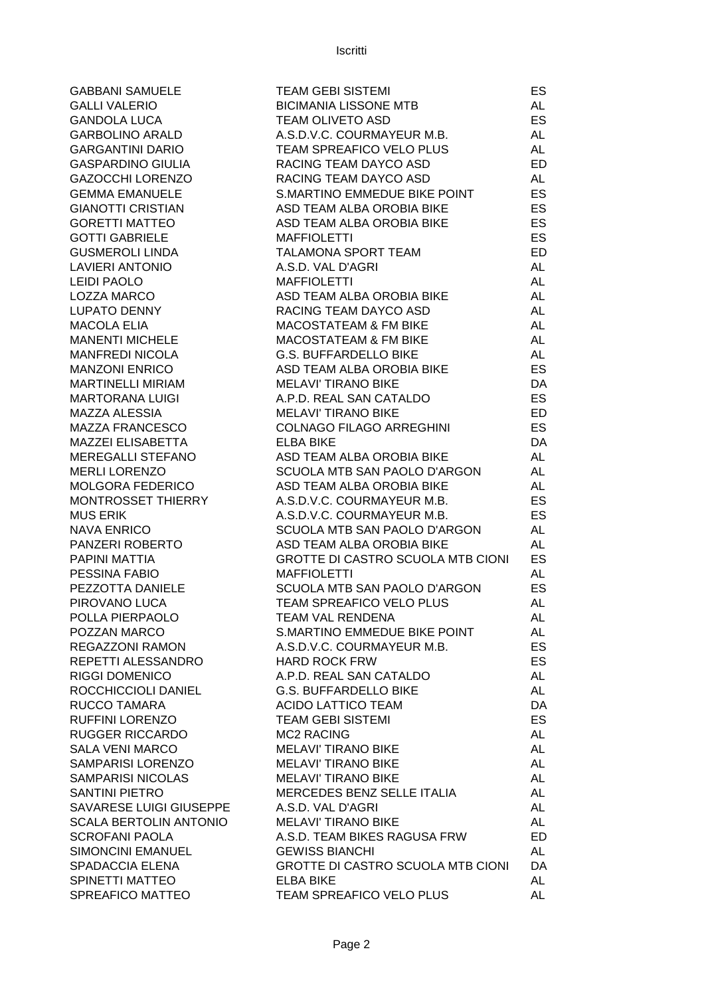**GABBANI SAMUELE GALLI VALERIO** GANDOLA LUCA **GARBOLINO ARALD GARGANTINI DARIO GASPARDINO GIULIA GAZOCCHI LORENZO GEMMA EMANUELE GIANOTTI CRISTIAN GORETTI MATTEO GOTTI GABRIELE GUSMEROLI LINDA** LAVIERI ANTONIO LEIDI PAOLO LOZZA MARCO LUPATO DENNY **MACOLA ELIA MANENTI MICHELE** MANFREDI NICOLA **MANZONI ENRICO** MARTINELLI MIRIAM **MARTORANA LUIGI** MAZZA ALESSIA MAZZA FRANCESCO MAZZEI ELISABETTA MEREGALLI STEFANO MERLI LORENZO MOLGORA FEDERICO MONTROSSET THIERRY **MUS ERIK** NAVA ENRICO PANZERI ROBERTO PAPINI MATTIA PESSINA FABIO PEZZOTTA DANIELE PIROVANO LUCA POLLA PIERPAOLO POZZAN MARCO REGAZZONI RAMON REPETTI ALESSANDRO **RIGGI DOMENICO** ROCCHICCIOLI DANIEL RUCCO TAMARA RUFFINI LORENZO RUGGER RICCARDO SALA VENI MARCO SAMPARISI LORENZO SAMPARISI NICOLAS SANTINI PIETRO SAVARESE LUIGI GIUSEPPE SCALA BERTOLIN ANTONIO SCROFANI PAOLA SIMONCINI EMANUEL SPADACCIA ELENA SPINETTI MATTEO SPREAFICO MATTEO

| TEAM GEBI SISTEMI                        | ES        |
|------------------------------------------|-----------|
| <b>BICIMANIA LISSONE MTB</b>             | <b>AL</b> |
| <b>TEAM OLIVETO ASD</b>                  | ES        |
| A.S.D.V.C. COURMAYEUR M.B.               | AL        |
| <b>TEAM SPREAFICO VELO PLUS</b>          | <b>AL</b> |
| RACING TEAM DAYCO ASD                    | <b>ED</b> |
| RACING TEAM DAYCO ASD                    | <b>AL</b> |
| S.MARTINO EMMEDUE BIKE POINT             | <b>ES</b> |
| ASD TEAM ALBA OROBIA BIKE                | <b>ES</b> |
| <b>ASD TEAM ALBA OROBIA BIKE</b>         | <b>ES</b> |
| <b>MAFFIOLETTI</b>                       | <b>ES</b> |
| <b>TALAMONA SPORT TEAM</b>               | ED        |
| A.S.D. VAL D'AGRI                        | <b>AL</b> |
| <b>MAFFIOLETTI</b>                       | <b>AL</b> |
| ASD TEAM ALBA OROBIA BIKE                | <b>AL</b> |
| RACING TEAM DAYCO ASD                    | <b>AL</b> |
| <b>MACOSTATEAM &amp; FM BIKE</b>         | <b>AL</b> |
| <b>MACOSTATEAM &amp; FM BIKE</b>         | <b>AL</b> |
| <b>G.S. BUFFARDELLO BIKE</b>             | <b>AL</b> |
| ASD TEAM ALBA OROBIA BIKE                | ES        |
| <b>MELAVI' TIRANO BIKE</b>               | DA        |
| A.P.D. REAL SAN CATALDO                  | <b>ES</b> |
| <b>MELAVI' TIRANO BIKE</b>               | <b>ED</b> |
| <b>COLNAGO FILAGO ARREGHINI</b>          | <b>ES</b> |
| <b>ELBA BIKE</b>                         | DA        |
| ASD TEAM ALBA OROBIA BIKE                | <b>AL</b> |
| SCUOLA MTB SAN PAOLO D'ARGON             | AL        |
| ASD TEAM ALBA OROBIA BIKE                | AL        |
| A.S.D.V.C. COURMAYEUR M.B.               | <b>ES</b> |
| A.S.D.V.C. COURMAYEUR M.B.               | ES        |
| SCUOLA MTB SAN PAOLO D'ARGON             | <b>AL</b> |
| <b>ASD TEAM ALBA OROBIA BIKE</b>         | <b>AL</b> |
| <b>GROTTE DI CASTRO SCUOLA MTB CIONI</b> | ES        |
| <b>MAFFIOLETTI</b>                       | AL        |
| SCUOLA MTB SAN PAOLO D'ARGON             | <b>ES</b> |
| TEAM SPREAFICO VELO PLUS                 | AL        |
| <b>TEAM VAL RENDENA</b>                  | <b>AL</b> |
| <b>S.MARTINO EMMEDUE BIKE POINT</b>      | AL        |
| A.S.D.V.C. COURMAYEUR M.B.               | <b>ES</b> |
| <b>HARD ROCK FRW</b>                     | <b>ES</b> |
| A.P.D. REAL SAN CATALDO                  | AL        |
| <b>G.S. BUFFARDELLO BIKE</b>             | AL        |
| <b>ACIDO LATTICO TEAM</b>                | DA        |
| <b>TEAM GEBI SISTEMI</b>                 | ES        |
| <b>MC2 RACING</b>                        | <b>AL</b> |
| <b>MELAVI' TIRANO BIKE</b>               | <b>AL</b> |
| <b>MELAVI' TIRANO BIKE</b>               | <b>AL</b> |
| <b>MELAVI' TIRANO BIKE</b>               | <b>AL</b> |
| MERCEDES BENZ SELLE ITALIA               | <b>AL</b> |
| A.S.D. VAL D'AGRI                        | <b>AL</b> |
| <b>MELAVI' TIRANO BIKE</b>               | <b>AL</b> |
| A.S.D. TEAM BIKES RAGUSA FRW             | <b>ED</b> |
| <b>GEWISS BIANCHI</b>                    | <b>AL</b> |
| <b>GROTTE DI CASTRO SCUOLA MTB CIONI</b> | DA        |
| <b>ELBA BIKE</b>                         | <b>AL</b> |
| TEAM SPREAFICO VELO PLUS                 | AL        |
|                                          |           |